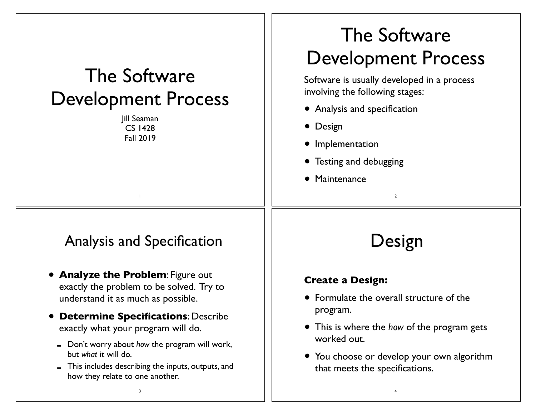| The Software<br><b>Development Process</b><br>Jill Seaman<br><b>CS 1428</b><br><b>Fall 2019</b>                                                                                                                                                                                                                                                                                      | The Software<br><b>Development Process</b><br>Software is usually developed in a process<br>involving the following stages:<br>• Analysis and specification<br>• Design<br>• Implementation<br>• Testing and debugging<br>• Maintenance<br>$\overline{2}$ |
|--------------------------------------------------------------------------------------------------------------------------------------------------------------------------------------------------------------------------------------------------------------------------------------------------------------------------------------------------------------------------------------|-----------------------------------------------------------------------------------------------------------------------------------------------------------------------------------------------------------------------------------------------------------|
| <b>Analysis and Specification</b>                                                                                                                                                                                                                                                                                                                                                    | Design                                                                                                                                                                                                                                                    |
| <b>• Analyze the Problem: Figure out</b><br>exactly the problem to be solved. Try to<br>understand it as much as possible.<br><b>Determine Specifications: Describe</b><br>exactly what your program will do.<br>- Don't worry about how the program will work,<br>but what it will do.<br>This includes describing the inputs, outputs, and<br>how they relate to one another.<br>3 | <b>Create a Design:</b><br>• Formulate the overall structure of the<br>program.<br>• This is where the how of the program gets<br>worked out.<br>• You choose or develop your own algorithm<br>that meets the specifications.                             |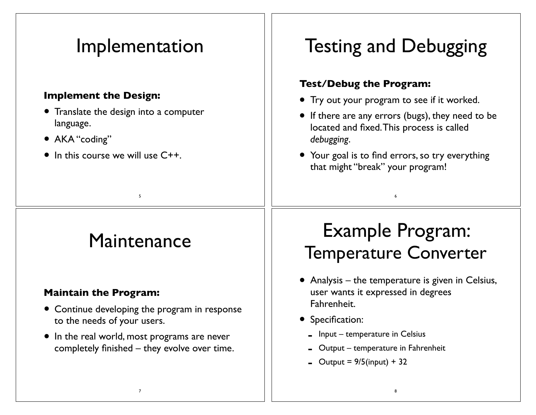#### Implementation

#### **Implement the Design:**

- Translate the design into a computer language.
- AKA "coding"
- $\bullet$  In this course we will use  $C_{++}$ .

# Testing and Debugging

#### **Test/Debug the Program:**

- Try out your program to see if it worked.
- If there are any errors (bugs), they need to be located and fixed. This process is called *debugging*.
- Your goal is to find errors, so try everything that might "break" your program!

6

### **Maintenance**

5

#### **Maintain the Program:**

- Continue developing the program in response to the needs of your users.
- In the real world, most programs are never completely finished – they evolve over time.

7

# Example Program: Temperature Converter

- Analysis the temperature is given in Celsius, user wants it expressed in degrees Fahrenheit.
- Specification:
	- $\blacksquare$  Input temperature in Celsius
	- $-$  Output temperature in Fahrenheit
	- $-$  Output = 9/5(input) + 32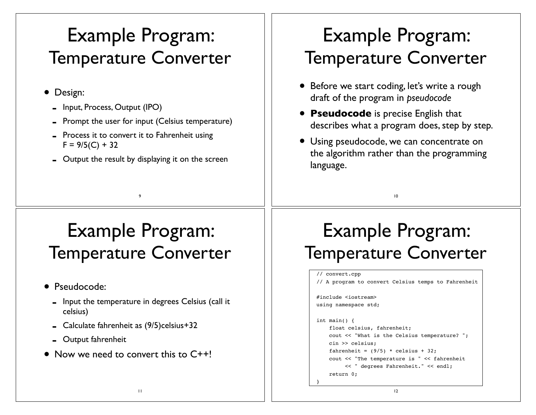### Example Program: Temperature Converter

- Design:
	- Input, Process, Output (IPO)
	- Prompt the user for input (Celsius temperature)
	- Process it to convert it to Fahrenheit using  $F = 9/5(C) + 32$
	- Output the result by displaying it on the screen

9

# Example Program: Temperature Converter

- Before we start coding, let's write a rough draft of the program in *pseudocode*
- **Pseudocode** is precise English that describes what a program does, step by step.
- Using pseudocode, we can concentrate on the algorithm rather than the programming language.

10

### Example Program: Temperature Converter

- Pseudocode:
	- Input the temperature in degrees Celsius (call it celsius)
	- Calculate fahrenheit as (9/5)celsius+32
	- Output fahrenheit
- Now we need to convert this to C++!

# Example Program: Temperature Converter

#### // convert.cpp // A program to convert Celsius temps to Fahrenheit #include <iostream> using namespace std; int main() { float celsius, fahrenheit; cout << "What is the Celsius temperature? "; cin >> celsius; fahrenheit =  $(9/5)$  \* celsius + 32: cout << "The temperature is " << fahrenheit << " degrees Fahrenheit." << endl; return 0; }